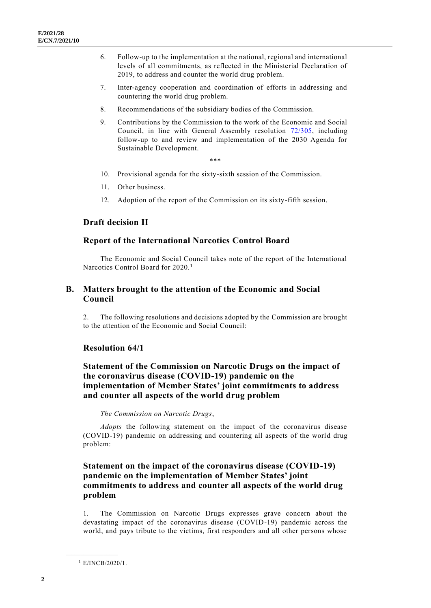- 6. Follow-up to the implementation at the national, regional and international levels of all commitments, as reflected in the Ministerial Declaration of 2019, to address and counter the world drug problem.
- 7. Inter-agency cooperation and coordination of efforts in addressing and countering the world drug problem.
- 8. Recommendations of the subsidiary bodies of the Commission.
- 9. Contributions by the Commission to the work of the Economic and Social Council, in line with General Assembly resolution [72/305,](https://undocs.org/en/A/RES/72/305) including follow-up to and review and implementation of the 2030 Agenda for Sustainable Development.

\*\*\*

- 10. Provisional agenda for the sixty-sixth session of the Commission.
- 11. Other business.
- 12. Adoption of the report of the Commission on its sixty-fifth session.

## **Draft decision II**

## **Report of the International Narcotics Control Board**

The Economic and Social Council takes note of the report of the International Narcotics Control Board for 2020.<sup>1</sup>

# **B. Matters brought to the attention of the Economic and Social Council**

2. The following resolutions and decisions adopted by the Commission are brought to the attention of the Economic and Social Council:

## **Resolution 64/1**

# **Statement of the Commission on Narcotic Drugs on the impact of the coronavirus disease (COVID-19) pandemic on the implementation of Member States' joint commitments to address and counter all aspects of the world drug problem**

## *The Commission on Narcotic Drugs*,

*Adopts* the following statement on the impact of the coronavirus disease (COVID-19) pandemic on addressing and countering all aspects of the world drug problem:

# **Statement on the impact of the coronavirus disease (COVID-19) pandemic on the implementation of Member States' joint commitments to address and counter all aspects of the world drug problem**

1. The Commission on Narcotic Drugs expresses grave concern about the devastating impact of the coronavirus disease (COVID-19) pandemic across the world, and pays tribute to the victims, first responders and all other persons whose

<sup>1</sup> E/INCB/2020/1.

**\_\_\_\_\_\_\_\_\_\_\_\_\_\_\_\_\_\_**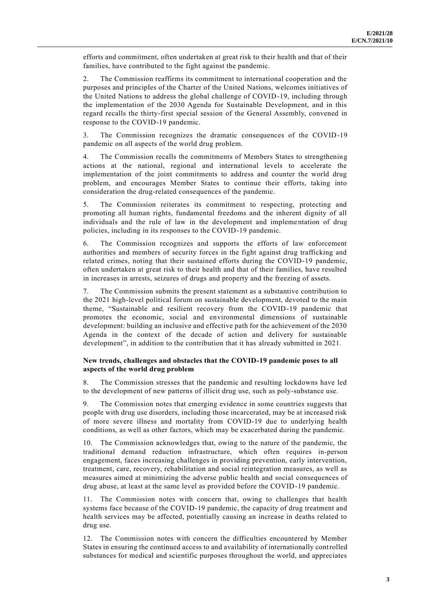efforts and commitment, often undertaken at great risk to their health and that of their families, have contributed to the fight against the pandemic.

2. The Commission reaffirms its commitment to international cooperation and the purposes and principles of the Charter of the United Nations, welcomes initiatives of the United Nations to address the global challenge of COVID-19, including through the implementation of the 2030 Agenda for Sustainable Development, and in this regard recalls the thirty-first special session of the General Assembly, convened in response to the COVID-19 pandemic.

3. The Commission recognizes the dramatic consequences of the COVID-19 pandemic on all aspects of the world drug problem.

4. The Commission recalls the commitments of Members States to strengthening actions at the national, regional and international levels to accelerate the implementation of the joint commitments to address and counter the world drug problem, and encourages Member States to continue their efforts, taking into consideration the drug-related consequences of the pandemic.

5. The Commission reiterates its commitment to respecting, protecting and promoting all human rights, fundamental freedoms and the inherent dignity of all individuals and the rule of law in the development and implementation of drug policies, including in its responses to the COVID-19 pandemic.

6. The Commission recognizes and supports the efforts of law enforcement authorities and members of security forces in the fight against drug trafficking and related crimes, noting that their sustained efforts during the COVID-19 pandemic, often undertaken at great risk to their health and that of their families, have resulted in increases in arrests, seizures of drugs and property and the freezing of assets.

7. The Commission submits the present statement as a substantive contribution to the 2021 high-level political forum on sustainable development, devoted to the main theme, "Sustainable and resilient recovery from the COVID-19 pandemic that promotes the economic, social and environmental dimensions of sustainable development: building an inclusive and effective path for the achievement of the 2030 Agenda in the context of the decade of action and delivery for sustainable development", in addition to the contribution that it has already submitted in 2021.

### **New trends, challenges and obstacles that the COVID-19 pandemic poses to all aspects of the world drug problem**

8. The Commission stresses that the pandemic and resulting lockdowns have led to the development of new patterns of illicit drug use, such as poly-substance use.

9. The Commission notes that emerging evidence in some countries suggests that people with drug use disorders, including those incarcerated, may be at increased risk of more severe illness and mortality from COVID-19 due to underlying health conditions, as well as other factors, which may be exacerbated during the pandemic.

10. The Commission acknowledges that, owing to the nature of the pandemic, the traditional demand reduction infrastructure, which often requires in-person engagement, faces increasing challenges in providing prevention, early intervention, treatment, care, recovery, rehabilitation and social reintegration measures, as well as measures aimed at minimizing the adverse public health and social consequences of drug abuse, at least at the same level as provided before the COVID-19 pandemic.

11. The Commission notes with concern that, owing to challenges that health systems face because of the COVID-19 pandemic, the capacity of drug treatment and health services may be affected, potentially causing an increase in deaths related to drug use.

12. The Commission notes with concern the difficulties encountered by Member States in ensuring the continued access to and availability of internationally controlled substances for medical and scientific purposes throughout the world, and appreciates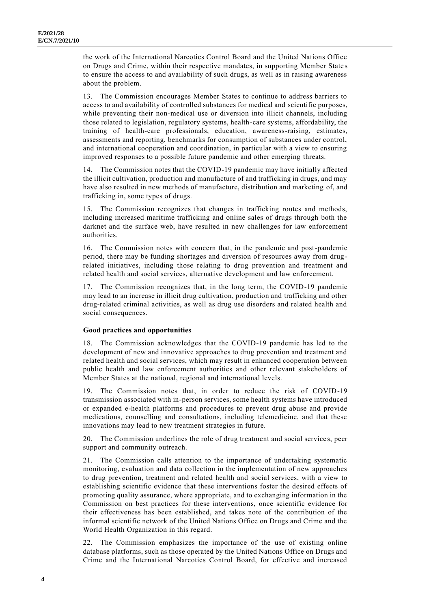the work of the International Narcotics Control Board and the United Nations Office on Drugs and Crime, within their respective mandates, in supporting Member State s to ensure the access to and availability of such drugs, as well as in raising awareness about the problem.

13. The Commission encourages Member States to continue to address barriers to access to and availability of controlled substances for medical and scientific purposes, while preventing their non-medical use or diversion into illicit channels, including those related to legislation, regulatory systems, health-care systems, affordability, the training of health-care professionals, education, awareness-raising, estimates, assessments and reporting, benchmarks for consumption of substances under control, and international cooperation and coordination, in particular with a view to ensuring improved responses to a possible future pandemic and other emerging threats.

14. The Commission notes that the COVID-19 pandemic may have initially affected the illicit cultivation, production and manufacture of and trafficking in drugs, and may have also resulted in new methods of manufacture, distribution and marketing of, and trafficking in, some types of drugs.

15. The Commission recognizes that changes in trafficking routes and methods, including increased maritime trafficking and online sales of drugs through both the darknet and the surface web, have resulted in new challenges for law enforcement authorities.

16. The Commission notes with concern that, in the pandemic and post-pandemic period, there may be funding shortages and diversion of resources away from drug related initiatives, including those relating to drug prevention and treatment and related health and social services, alternative development and law enforcement.

17. The Commission recognizes that, in the long term, the COVID-19 pandemic may lead to an increase in illicit drug cultivation, production and trafficking and other drug-related criminal activities, as well as drug use disorders and related health and social consequences.

### **Good practices and opportunities**

18. The Commission acknowledges that the COVID-19 pandemic has led to the development of new and innovative approaches to drug prevention and treatment and related health and social services, which may result in enhanced cooperation between public health and law enforcement authorities and other relevant stakeholders of Member States at the national, regional and international levels.

19. The Commission notes that, in order to reduce the risk of COVID-19 transmission associated with in-person services, some health systems have introduced or expanded e-health platforms and procedures to prevent drug abuse and provide medications, counselling and consultations, including telemedicine, and that these innovations may lead to new treatment strategies in future.

20. The Commission underlines the role of drug treatment and social service s, peer support and community outreach.

21. The Commission calls attention to the importance of undertaking systematic monitoring, evaluation and data collection in the implementation of new approaches to drug prevention, treatment and related health and social services, with a view to establishing scientific evidence that these interventions foster the desired effects of promoting quality assurance, where appropriate, and to exchanging information in the Commission on best practices for these interventions, once scientific evidence for their effectiveness has been established, and takes note of the contribution of the informal scientific network of the United Nations Office on Drugs and Crime and the World Health Organization in this regard.

22. The Commission emphasizes the importance of the use of existing online database platforms, such as those operated by the United Nations Office on Drugs and Crime and the International Narcotics Control Board, for effective and increased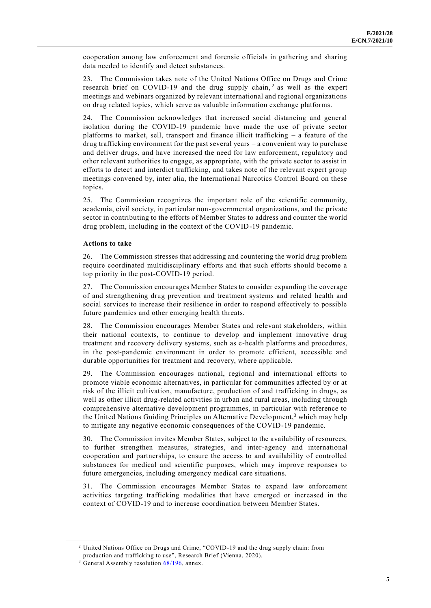cooperation among law enforcement and forensic officials in gathering and sharing data needed to identify and detect substances.

23. The Commission takes note of the United Nations Office on Drugs and Crime research brief on COVID-19 and the drug supply chain,<sup>2</sup> as well as the expert meetings and webinars organized by relevant international and regional organizations on drug related topics, which serve as valuable information exchange platforms.

24. The Commission acknowledges that increased social distancing and general isolation during the COVID-19 pandemic have made the use of private sector platforms to market, sell, transport and finance illicit trafficking  $-$  a feature of the drug trafficking environment for the past several years – a convenient way to purchase and deliver drugs, and have increased the need for law enforcement, regulatory and other relevant authorities to engage, as appropriate, with the private sector to assist in efforts to detect and interdict trafficking, and takes note of the relevant expert group meetings convened by, inter alia, the International Narcotics Control Board on these topics.

25. The Commission recognizes the important role of the scientific community, academia, civil society, in particular non-governmental organizations, and the private sector in contributing to the efforts of Member States to address and counter the world drug problem, including in the context of the COVID-19 pandemic.

### **Actions to take**

26. The Commission stresses that addressing and countering the world drug problem require coordinated multidisciplinary efforts and that such efforts should become a top priority in the post-COVID-19 period.

27. The Commission encourages Member States to consider expanding the coverage of and strengthening drug prevention and treatment systems and related health and social services to increase their resilience in order to respond effectively to possible future pandemics and other emerging health threats.

28. The Commission encourages Member States and relevant stakeholders, within their national contexts, to continue to develop and implement innovative drug treatment and recovery delivery systems, such as e-health platforms and procedures, in the post-pandemic environment in order to promote efficient, accessible and durable opportunities for treatment and recovery, where applicable.

29. The Commission encourages national, regional and international efforts to promote viable economic alternatives, in particular for communities affected by or at risk of the illicit cultivation, manufacture, production of and trafficking in drugs, as well as other illicit drug-related activities in urban and rural areas, including through comprehensive alternative development programmes, in particular with reference to the United Nations Guiding Principles on Alternative Development,<sup>3</sup> which may help to mitigate any negative economic consequences of the COVID-19 pandemic.

30. The Commission invites Member States, subject to the availability of resources, to further strengthen measures, strategies, and inter-agency and international cooperation and partnerships, to ensure the access to and availability of controlled substances for medical and scientific purposes, which may improve responses to future emergencies, including emergency medical care situations.

31. The Commission encourages Member States to expand law enforcement activities targeting trafficking modalities that have emerged or increased in the context of COVID-19 and to increase coordination between Member States.

**\_\_\_\_\_\_\_\_\_\_\_\_\_\_\_\_\_\_**

<sup>2</sup> United Nations Office on Drugs and Crime, "COVID-19 and the drug supply chain: from

production and trafficking to use", Research Brief (Vienna, 2020).

<sup>&</sup>lt;sup>3</sup> General Assembly resolution [68/196,](http://undocs.org/A/RES/68/196) annex.